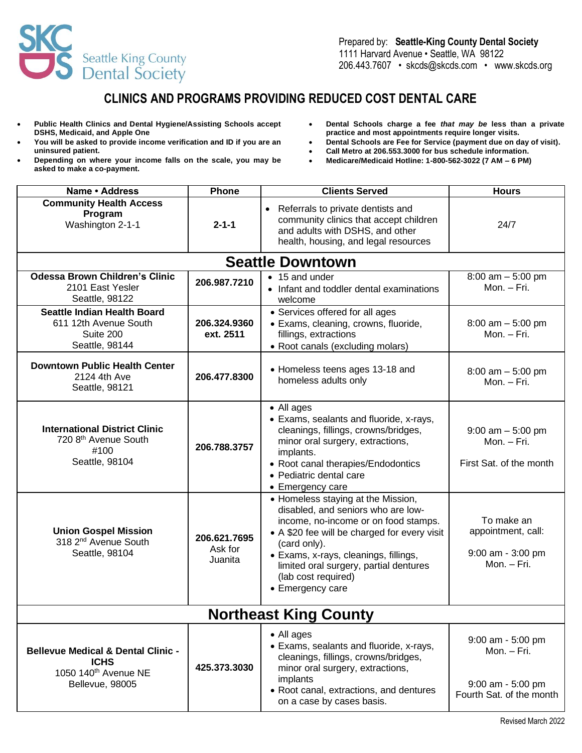

## **CLINICS AND PROGRAMS PROVIDING REDUCED COST DENTAL CARE**

- **Public Health Clinics and Dental Hygiene/Assisting Schools accept DSHS, Medicaid, and Apple One**
- **You will be asked to provide income verification and ID if you are an uninsured patient.**
- **Depending on where your income falls on the scale, you may be asked to make a co-payment.**
- **Dental Schools charge a fee** *that may be* **less than a private practice and most appointments require longer visits.**
- **Dental Schools are Fee for Service (payment due on day of visit).**
- **Call Metro at 206.553.3000 for bus schedule information.**
- **Medicare/Medicaid Hotline: 1-800-562-3022 (7 AM – 6 PM)**

| Name · Address                                                                                                      | Phone                              | <b>Clients Served</b>                                                                                                                                                                                                                                                                                          | <b>Hours</b>                                                                      |
|---------------------------------------------------------------------------------------------------------------------|------------------------------------|----------------------------------------------------------------------------------------------------------------------------------------------------------------------------------------------------------------------------------------------------------------------------------------------------------------|-----------------------------------------------------------------------------------|
| <b>Community Health Access</b><br>Program<br>Washington 2-1-1                                                       | $2 - 1 - 1$                        | • Referrals to private dentists and<br>community clinics that accept children<br>and adults with DSHS, and other<br>health, housing, and legal resources                                                                                                                                                       | 24/7                                                                              |
|                                                                                                                     |                                    | <b>Seattle Downtown</b>                                                                                                                                                                                                                                                                                        |                                                                                   |
| <b>Odessa Brown Children's Clinic</b><br>2101 East Yesler<br>Seattle, 98122                                         | 206.987.7210                       | • 15 and under<br>• Infant and toddler dental examinations<br>welcome                                                                                                                                                                                                                                          | $8:00$ am $-5:00$ pm<br>Mon. - Fri.                                               |
| <b>Seattle Indian Health Board</b><br>611 12th Avenue South<br>Suite 200<br>Seattle, 98144                          | 206.324.9360<br>ext. 2511          | • Services offered for all ages<br>• Exams, cleaning, crowns, fluoride,<br>fillings, extractions<br>• Root canals (excluding molars)                                                                                                                                                                           | $8:00$ am $-5:00$ pm<br>Mon. - Fri.                                               |
| <b>Downtown Public Health Center</b><br>2124 4th Ave<br>Seattle, 98121                                              | 206.477.8300                       | • Homeless teens ages 13-18 and<br>homeless adults only                                                                                                                                                                                                                                                        | $8:00$ am $-5:00$ pm<br>Mon. - Fri.                                               |
| <b>International District Clinic</b><br>720 8th Avenue South<br>#100<br>Seattle, 98104                              | 206.788.3757                       | • All ages<br>• Exams, sealants and fluoride, x-rays,<br>cleanings, fillings, crowns/bridges,<br>minor oral surgery, extractions,<br>implants.<br>• Root canal therapies/Endodontics<br>• Pediatric dental care<br>• Emergency care                                                                            | $9:00$ am $-5:00$ pm<br>Mon. - Fri.<br>First Sat. of the month                    |
| <b>Union Gospel Mission</b><br>318 2 <sup>nd</sup> Avenue South<br>Seattle, 98104                                   | 206.621.7695<br>Ask for<br>Juanita | • Homeless staying at the Mission,<br>disabled, and seniors who are low-<br>income, no-income or on food stamps.<br>• A \$20 fee will be charged for every visit<br>(card only).<br>• Exams, x-rays, cleanings, fillings,<br>limited oral surgery, partial dentures<br>(lab cost required)<br>• Emergency care | To make an<br>appointment, call:<br>9:00 am - 3:00 pm<br>Mon. - Fri.              |
| <b>Northeast King County</b>                                                                                        |                                    |                                                                                                                                                                                                                                                                                                                |                                                                                   |
| <b>Bellevue Medical &amp; Dental Clinic -</b><br><b>ICHS</b><br>1050 140 <sup>th</sup> Avenue NE<br>Bellevue, 98005 | 425.373.3030                       | • All ages<br>• Exams, sealants and fluoride, x-rays,<br>cleanings, fillings, crowns/bridges,<br>minor oral surgery, extractions,<br>implants<br>• Root canal, extractions, and dentures<br>on a case by cases basis.                                                                                          | 9:00 am - 5:00 pm<br>Mon. - Fri.<br>9:00 am - 5:00 pm<br>Fourth Sat. of the month |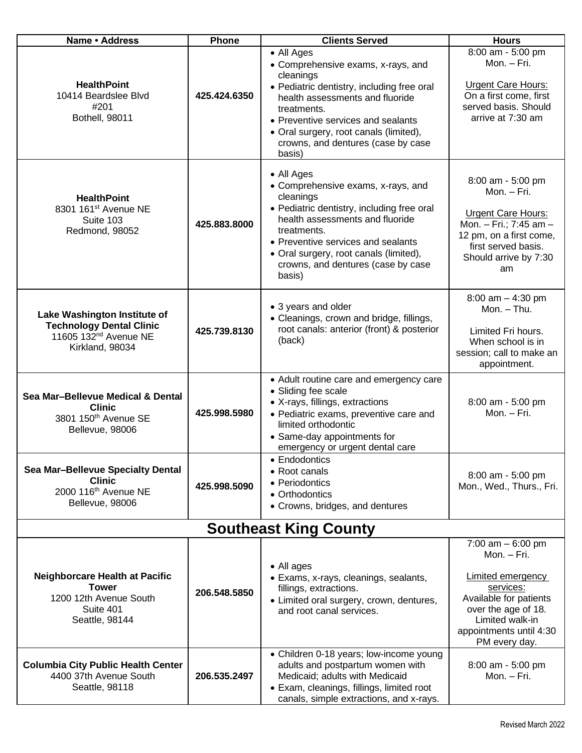| Name · Address                                                                                                          | <b>Phone</b> | <b>Clients Served</b>                                                                                                                                                                                                                                                                         | <b>Hours</b>                                                                                                                                                                         |  |
|-------------------------------------------------------------------------------------------------------------------------|--------------|-----------------------------------------------------------------------------------------------------------------------------------------------------------------------------------------------------------------------------------------------------------------------------------------------|--------------------------------------------------------------------------------------------------------------------------------------------------------------------------------------|--|
| <b>HealthPoint</b><br>10414 Beardslee Blvd<br>#201<br>Bothell, 98011                                                    | 425.424.6350 | • All Ages<br>• Comprehensive exams, x-rays, and<br>cleanings<br>· Pediatric dentistry, including free oral<br>health assessments and fluoride<br>treatments.<br>• Preventive services and sealants<br>• Oral surgery, root canals (limited),<br>crowns, and dentures (case by case<br>basis) | 8:00 am - 5:00 pm<br>Mon. - Fri.<br><b>Urgent Care Hours:</b><br>On a first come, first<br>served basis. Should<br>arrive at 7:30 am                                                 |  |
| <b>HealthPoint</b><br>8301 161 <sup>st</sup> Avenue NE<br>Suite 103<br>Redmond, 98052                                   | 425.883.8000 | • All Ages<br>• Comprehensive exams, x-rays, and<br>cleanings<br>• Pediatric dentistry, including free oral<br>health assessments and fluoride<br>treatments.<br>• Preventive services and sealants<br>• Oral surgery, root canals (limited),<br>crowns, and dentures (case by case<br>basis) | 8:00 am - 5:00 pm<br>Mon. - Fri.<br><b>Urgent Care Hours:</b><br>Mon. - Fri.; 7:45 am -<br>12 pm, on a first come,<br>first served basis.<br>Should arrive by 7:30<br>am             |  |
| Lake Washington Institute of<br><b>Technology Dental Clinic</b><br>11605 132 <sup>nd</sup> Avenue NE<br>Kirkland, 98034 | 425.739.8130 | • 3 years and older<br>• Cleanings, crown and bridge, fillings,<br>root canals: anterior (front) & posterior<br>(back)                                                                                                                                                                        | $8:00$ am $-4:30$ pm<br>Mon. - Thu.<br>Limited Fri hours.<br>When school is in<br>session; call to make an<br>appointment.                                                           |  |
| Sea Mar-Bellevue Medical & Dental<br><b>Clinic</b><br>3801 150th Avenue SE<br>Bellevue, 98006                           | 425.998.5980 | • Adult routine care and emergency care<br>• Sliding fee scale<br>• X-rays, fillings, extractions<br>· Pediatric exams, preventive care and<br>limited orthodontic<br>• Same-day appointments for<br>emergency or urgent dental care                                                          | 8:00 am - 5:00 pm<br>Mon. - Fri.                                                                                                                                                     |  |
| Sea Mar-Bellevue Specialty Dental<br><b>Clinic</b><br>2000 116 <sup>th</sup> Avenue NE<br>Bellevue, 98006               | 425.998.5090 | • Endodontics<br>• Root canals<br>• Periodontics<br>• Orthodontics<br>• Crowns, bridges, and dentures                                                                                                                                                                                         | 8:00 am - 5:00 pm<br>Mon., Wed., Thurs., Fri.                                                                                                                                        |  |
| <b>Southeast King County</b>                                                                                            |              |                                                                                                                                                                                                                                                                                               |                                                                                                                                                                                      |  |
| Neighborcare Health at Pacific<br><b>Tower</b><br>1200 12th Avenue South<br>Suite 401<br>Seattle, 98144                 | 206.548.5850 | • All ages<br>• Exams, x-rays, cleanings, sealants,<br>fillings, extractions.<br>• Limited oral surgery, crown, dentures,<br>and root canal services.                                                                                                                                         | 7:00 $am - 6:00$ pm<br>Mon. - Fri.<br>Limited emergency<br>services:<br>Available for patients<br>over the age of 18.<br>Limited walk-in<br>appointments until 4:30<br>PM every day. |  |
| <b>Columbia City Public Health Center</b><br>4400 37th Avenue South<br>Seattle, 98118                                   | 206.535.2497 | • Children 0-18 years; low-income young<br>adults and postpartum women with<br>Medicaid; adults with Medicaid<br>• Exam, cleanings, fillings, limited root<br>canals, simple extractions, and x-rays.                                                                                         | 8:00 am - 5:00 pm<br>Mon. - Fri.                                                                                                                                                     |  |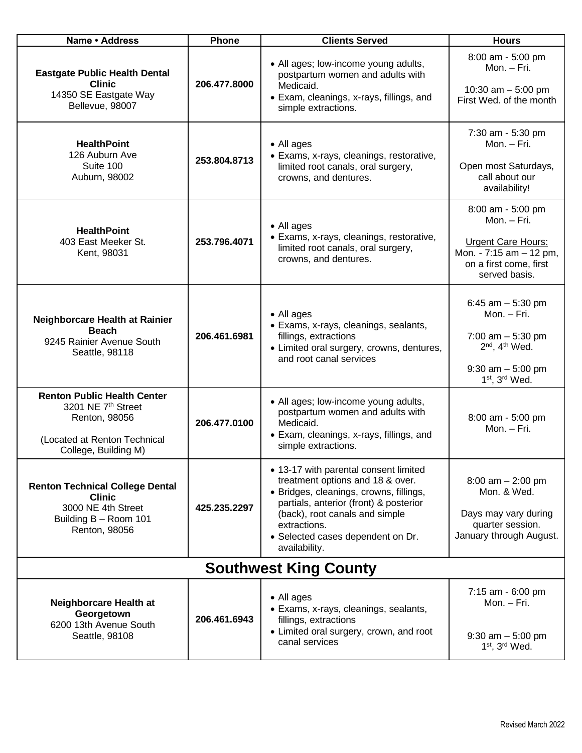| Name · Address                                                                                                                    | Phone        | <b>Clients Served</b>                                                                                                                                                                                                                                                  | <b>Hours</b>                                                                                                                            |
|-----------------------------------------------------------------------------------------------------------------------------------|--------------|------------------------------------------------------------------------------------------------------------------------------------------------------------------------------------------------------------------------------------------------------------------------|-----------------------------------------------------------------------------------------------------------------------------------------|
| <b>Eastgate Public Health Dental</b><br><b>Clinic</b><br>14350 SE Eastgate Way<br>Bellevue, 98007                                 | 206.477.8000 | • All ages; low-income young adults,<br>postpartum women and adults with<br>Medicaid.<br>• Exam, cleanings, x-rays, fillings, and<br>simple extractions.                                                                                                               | 8:00 am - 5:00 pm<br>Mon. - Fri.<br>10:30 am $-5:00$ pm<br>First Wed, of the month                                                      |
| <b>HealthPoint</b><br>126 Auburn Ave<br>Suite 100<br>Auburn, 98002                                                                | 253.804.8713 | • All ages<br>• Exams, x-rays, cleanings, restorative,<br>limited root canals, oral surgery,<br>crowns, and dentures.                                                                                                                                                  | 7:30 am - 5:30 pm<br>Mon. - Fri.<br>Open most Saturdays,<br>call about our<br>availability!                                             |
| <b>HealthPoint</b><br>403 East Meeker St.<br>Kent, 98031                                                                          | 253.796.4071 | • All ages<br>• Exams, x-rays, cleanings, restorative,<br>limited root canals, oral surgery,<br>crowns, and dentures.                                                                                                                                                  | 8:00 am - 5:00 pm<br>Mon. - Fri.<br><b>Urgent Care Hours:</b><br>Mon. - 7:15 am - 12 pm,<br>on a first come, first<br>served basis.     |
| Neighborcare Health at Rainier<br><b>Beach</b><br>9245 Rainier Avenue South<br>Seattle, 98118                                     | 206.461.6981 | • All ages<br>• Exams, x-rays, cleanings, sealants,<br>fillings, extractions<br>• Limited oral surgery, crowns, dentures,<br>and root canal services                                                                                                                   | 6:45 $am - 5:30 pm$<br>Mon. – Fri.<br>7:00 am $-$ 5:30 pm<br>$2nd$ , 4 <sup>th</sup> Wed.<br>$9:30$ am $-5:00$ pm<br>$1st$ , $3rd$ Wed. |
| <b>Renton Public Health Center</b><br>3201 NE 7th Street<br>Renton, 98056<br>(Located at Renton Technical<br>College, Building M) | 206.477.0100 | • All ages; low-income young adults,<br>postpartum women and adults with<br>Medicaid.<br>• Exam, cleanings, x-rays, fillings, and<br>simple extractions.                                                                                                               | 8:00 am - 5:00 pm<br>Mon. - Fri.                                                                                                        |
| <b>Renton Technical College Dental</b><br><b>Clinic</b><br>3000 NE 4th Street<br>Building B - Room 101<br>Renton, 98056           | 425.235.2297 | • 13-17 with parental consent limited<br>treatment options and 18 & over.<br>· Bridges, cleanings, crowns, fillings,<br>partials, anterior (front) & posterior<br>(back), root canals and simple<br>extractions.<br>• Selected cases dependent on Dr.<br>availability. | $8:00$ am $- 2:00$ pm<br>Mon. & Wed.<br>Days may vary during<br>quarter session.<br>January through August.                             |
| <b>Southwest King County</b>                                                                                                      |              |                                                                                                                                                                                                                                                                        |                                                                                                                                         |
| Neighborcare Health at<br>Georgetown<br>6200 13th Avenue South<br>Seattle, 98108                                                  | 206.461.6943 | • All ages<br>• Exams, x-rays, cleanings, sealants,<br>fillings, extractions<br>• Limited oral surgery, crown, and root<br>canal services                                                                                                                              | 7:15 am - 6:00 pm<br>Mon. - Fri.<br>$9:30$ am $-5:00$ pm<br>$1st$ , $3rd$ Wed.                                                          |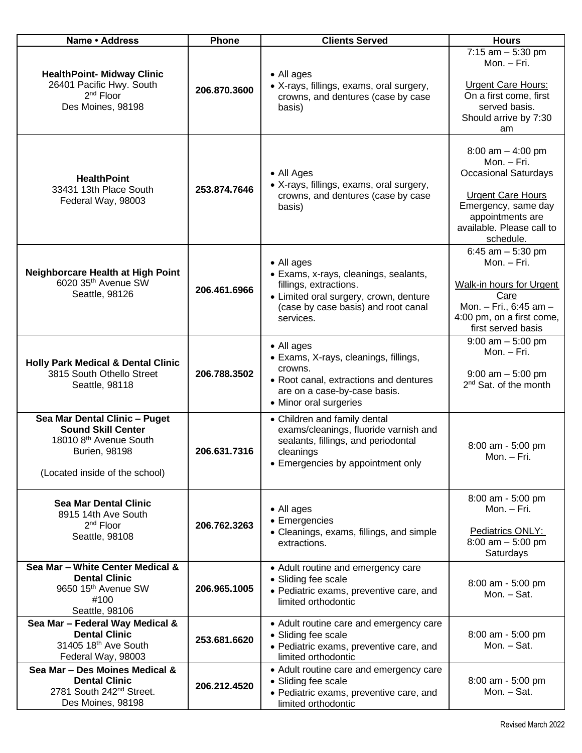| Name · Address                                                                                                                                             | Phone        | <b>Clients Served</b>                                                                                                                                              | <b>Hours</b>                                                                                                                                                                       |
|------------------------------------------------------------------------------------------------------------------------------------------------------------|--------------|--------------------------------------------------------------------------------------------------------------------------------------------------------------------|------------------------------------------------------------------------------------------------------------------------------------------------------------------------------------|
| <b>HealthPoint- Midway Clinic</b>                                                                                                                          |              | • All ages                                                                                                                                                         | $7:15$ am $-5:30$ pm<br>Mon. - Fri.                                                                                                                                                |
| 26401 Pacific Hwy. South<br>2 <sup>nd</sup> Floor<br>Des Moines, 98198                                                                                     | 206.870.3600 | • X-rays, fillings, exams, oral surgery,<br>crowns, and dentures (case by case<br>basis)                                                                           | <b>Urgent Care Hours:</b><br>On a first come, first<br>served basis.<br>Should arrive by 7:30<br>am                                                                                |
| <b>HealthPoint</b><br>33431 13th Place South<br>Federal Way, 98003                                                                                         | 253.874.7646 | • All Ages<br>• X-rays, fillings, exams, oral surgery,<br>crowns, and dentures (case by case<br>basis)                                                             | 8:00 am $-$ 4:00 pm<br>Mon. - Fri.<br><b>Occasional Saturdays</b><br><b>Urgent Care Hours</b><br>Emergency, same day<br>appointments are<br>available. Please call to<br>schedule. |
| Neighborcare Health at High Point<br>6020 35 <sup>th</sup> Avenue SW<br>Seattle, 98126                                                                     | 206.461.6966 | • All ages<br>• Exams, x-rays, cleanings, sealants,<br>fillings, extractions.<br>• Limited oral surgery, crown, denture<br>(case by case basis) and root canal     | 6:45 am $-$ 5:30 pm<br>Mon. - Fri.<br><b>Walk-in hours for Urgent</b><br>Care<br>Mon. - Fri., 6:45 am -                                                                            |
|                                                                                                                                                            |              | services.                                                                                                                                                          | 4:00 pm, on a first come,<br>first served basis                                                                                                                                    |
| <b>Holly Park Medical &amp; Dental Clinic</b><br>3815 South Othello Street<br>Seattle, 98118                                                               | 206.788.3502 | • All ages<br>• Exams, X-rays, cleanings, fillings,<br>crowns.<br>• Root canal, extractions and dentures<br>are on a case-by-case basis.<br>• Minor oral surgeries | $9:00$ am $-5:00$ pm<br>Mon. - Fri.<br>$9:00$ am $-5:00$ pm<br>2 <sup>nd</sup> Sat. of the month                                                                                   |
| Sea Mar Dental Clinic - Puget<br><b>Sound Skill Center</b><br>18010 8 <sup>th</sup> Avenue South<br><b>Burien, 98198</b><br>(Located inside of the school) | 206.631.7316 | • Children and family dental<br>exams/cleanings, fluoride varnish and<br>sealants, fillings, and periodontal<br>cleanings<br>• Emergencies by appointment only     | 8:00 am - 5:00 pm<br>Mon. – Fri.                                                                                                                                                   |
| <b>Sea Mar Dental Clinic</b><br>8915 14th Ave South<br>2 <sup>nd</sup> Floor<br>Seattle, 98108                                                             | 206.762.3263 | • All ages<br>• Emergencies<br>• Cleanings, exams, fillings, and simple<br>extractions.                                                                            | 8:00 am - 5:00 pm<br>Mon. - Fri.<br>Pediatrics ONLY:<br>$8:00$ am $-5:00$ pm<br>Saturdays                                                                                          |
| Sea Mar - White Center Medical &<br><b>Dental Clinic</b><br>9650 15th Avenue SW<br>#100<br>Seattle, 98106                                                  | 206.965.1005 | • Adult routine and emergency care<br>• Sliding fee scale<br>· Pediatric exams, preventive care, and<br>limited orthodontic                                        | 8:00 am - 5:00 pm<br>Mon. - Sat.                                                                                                                                                   |
| Sea Mar - Federal Way Medical &<br><b>Dental Clinic</b><br>31405 18th Ave South<br>Federal Way, 98003                                                      | 253.681.6620 | • Adult routine care and emergency care<br>• Sliding fee scale<br>· Pediatric exams, preventive care, and<br>limited orthodontic                                   | 8:00 am - 5:00 pm<br>Mon. - Sat.                                                                                                                                                   |
| Sea Mar - Des Moines Medical &<br><b>Dental Clinic</b><br>2781 South 242 <sup>nd</sup> Street.<br>Des Moines, 98198                                        | 206.212.4520 | • Adult routine care and emergency care<br>• Sliding fee scale<br>• Pediatric exams, preventive care, and<br>limited orthodontic                                   | 8:00 am - 5:00 pm<br>Mon. - Sat.                                                                                                                                                   |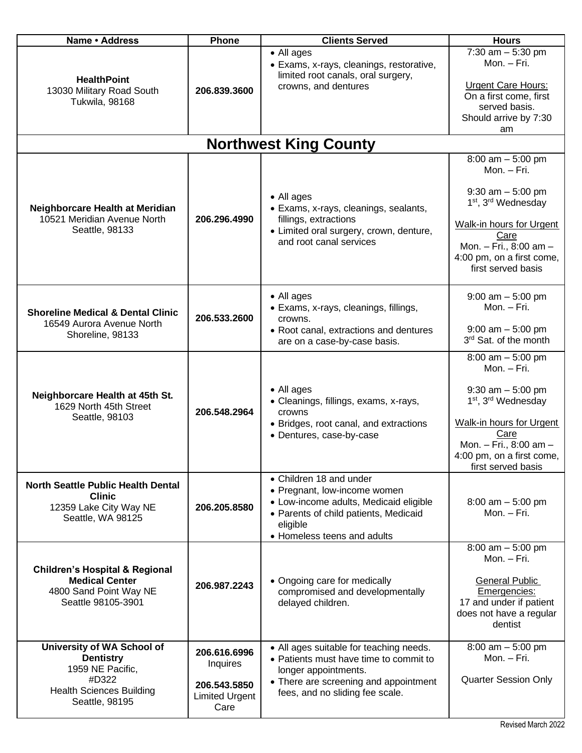| Name · Address                                                                                                                   | Phone                                                                     | <b>Clients Served</b>                                                                                                                                                                 | <b>Hours</b>                                                                                                                                                                                          |
|----------------------------------------------------------------------------------------------------------------------------------|---------------------------------------------------------------------------|---------------------------------------------------------------------------------------------------------------------------------------------------------------------------------------|-------------------------------------------------------------------------------------------------------------------------------------------------------------------------------------------------------|
| <b>HealthPoint</b><br>13030 Military Road South<br>Tukwila, 98168                                                                | 206.839.3600                                                              | • All ages<br>• Exams, x-rays, cleanings, restorative,<br>limited root canals, oral surgery,<br>crowns, and dentures                                                                  | 7:30 $am - 5:30 pm$<br>Mon. - Fri.<br><b>Urgent Care Hours:</b><br>On a first come, first<br>served basis.<br>Should arrive by 7:30<br>am                                                             |
|                                                                                                                                  |                                                                           | <b>Northwest King County</b>                                                                                                                                                          |                                                                                                                                                                                                       |
|                                                                                                                                  |                                                                           |                                                                                                                                                                                       | $8:00$ am $-5:00$ pm<br>Mon. - Fri.                                                                                                                                                                   |
| Neighborcare Health at Meridian<br>10521 Meridian Avenue North<br>Seattle, 98133                                                 | 206.296.4990                                                              | • All ages<br>· Exams, x-rays, cleanings, sealants,<br>fillings, extractions<br>• Limited oral surgery, crown, denture,<br>and root canal services                                    | $9:30$ am $-5:00$ pm<br>1 <sup>st</sup> , 3 <sup>rd</sup> Wednesday<br>Walk-in hours for Urgent<br>Care<br>Mon. - Fri., 8:00 am -<br>4:00 pm, on a first come,<br>first served basis                  |
| <b>Shoreline Medical &amp; Dental Clinic</b><br>16549 Aurora Avenue North<br>Shoreline, 98133                                    | 206.533.2600                                                              | • All ages<br>· Exams, x-rays, cleanings, fillings,<br>crowns.<br>• Root canal, extractions and dentures<br>are on a case-by-case basis.                                              | $9:00$ am $-5:00$ pm<br>Mon. - Fri.<br>$9:00$ am $-5:00$ pm<br>3rd Sat. of the month                                                                                                                  |
| Neighborcare Health at 45th St.<br>1629 North 45th Street<br>Seattle, 98103                                                      | 206.548.2964                                                              | • All ages<br>• Cleanings, fillings, exams, x-rays,<br>crowns<br>• Bridges, root canal, and extractions<br>• Dentures, case-by-case                                                   | $8:00$ am $-5:00$ pm<br>Mon. - Fri.<br>$9:30$ am $-5:00$ pm<br>1 <sup>st</sup> , 3 <sup>rd</sup> Wednesday<br>Walk-in hours for Urgent<br>Care<br>Mon. - Fri., 8:00 am -<br>4:00 pm, on a first come. |
| <b>North Seattle Public Health Dental</b><br><b>Clinic</b><br>12359 Lake City Way NE<br>Seattle, WA 98125                        | 206.205.8580                                                              | • Children 18 and under<br>• Pregnant, low-income women<br>• Low-income adults, Medicaid eligible<br>• Parents of child patients, Medicaid<br>eligible<br>• Homeless teens and adults | first served basis<br>$8:00$ am $-5:00$ pm<br>Mon. - Fri.                                                                                                                                             |
| <b>Children's Hospital &amp; Regional</b><br><b>Medical Center</b><br>4800 Sand Point Way NE<br>Seattle 98105-3901               | 206.987.2243                                                              | • Ongoing care for medically<br>compromised and developmentally<br>delayed children.                                                                                                  | $8:00$ am $-5:00$ pm<br>Mon. - Fri.<br><b>General Public</b><br>Emergencies:<br>17 and under if patient<br>does not have a regular<br>dentist                                                         |
| University of WA School of<br><b>Dentistry</b><br>1959 NE Pacific,<br>#D322<br><b>Health Sciences Building</b><br>Seattle, 98195 | 206.616.6996<br>Inquires<br>206.543.5850<br><b>Limited Urgent</b><br>Care | • All ages suitable for teaching needs.<br>• Patients must have time to commit to<br>longer appointments.<br>• There are screening and appointment<br>fees, and no sliding fee scale. | $8:00$ am $-5:00$ pm<br>Mon. - Fri.<br><b>Quarter Session Only</b>                                                                                                                                    |